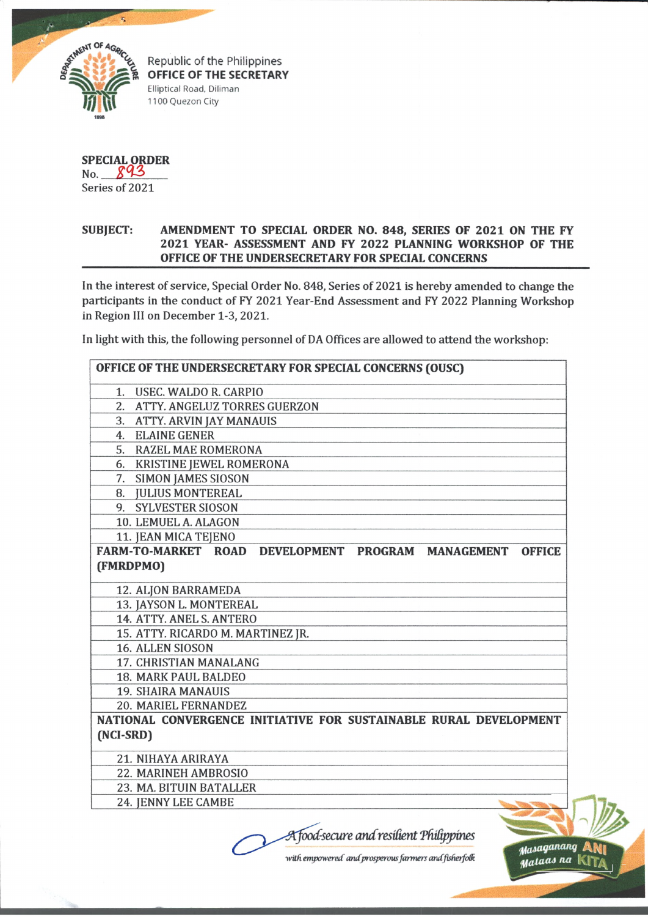

Republic of the Philippines **OFFICE OF THE SECRETARY** Elliptical Road, Diliman 1100 Quezon City

**SPECIAL ORDER** No. 893 Series of 2021

in ? #

## **SUBJECT: AMENDMENT TO SPECIAL ORDER NO. 848, SERIES OF 2021 ON THE FY 2021 YEAR- ASSESSMENT AND FY 2022 PLANNING WORKSHOP OF THE OFFICE OF THE UNDERSECRETARY FOR SPECIAL CONCERNS**

In the interest of service, Special Order No. 848, Series of 2021 is hereby amended to change the participants in the conduct of FY 2021 Year-End Assessment and FY 2022 Planning Workshop in Region III on December 1-3, 2021.

In light with this, the following personnel of DA Offices are allowed to attend the workshop:

| OFFICE OF THE UNDERSECRETARY FOR SPECIAL CONCERNS (OUSC)          |               |
|-------------------------------------------------------------------|---------------|
| 1. USEC. WALDO R. CARPIO                                          |               |
| 2. ATTY. ANGELUZ TORRES GUERZON                                   |               |
| 3. ATTY. ARVIN JAY MANAUIS                                        |               |
| 4. ELAINE GENER                                                   |               |
| 5. RAZEL MAE ROMERONA                                             |               |
| 6. KRISTINE JEWEL ROMERONA                                        |               |
| 7. SIMON JAMES SIOSON                                             |               |
| 8. JULIUS MONTEREAL                                               |               |
| 9. SYLVESTER SIOSON                                               |               |
| 10. LEMUEL A. ALAGON                                              |               |
| 11. JEAN MICA TEJENO                                              |               |
| FARM-TO-MARKET ROAD DEVELOPMENT PROGRAM MANAGEMENT                | <b>OFFICE</b> |
| (FMRDPMO)                                                         |               |
| 12. ALJON BARRAMEDA                                               |               |
| 13. JAYSON L. MONTEREAL                                           |               |
| 14. ATTY. ANEL S. ANTERO                                          |               |
| 15. ATTY. RICARDO M. MARTINEZ JR.                                 |               |
| <b>16. ALLEN SIOSON</b>                                           |               |
| 17. CHRISTIAN MANALANG                                            |               |
| <b>18. MARK PAUL BALDEO</b>                                       |               |
| <b>19. SHAIRA MANAUIS</b>                                         |               |
| 20. MARIEL FERNANDEZ                                              |               |
| NATIONAL CONVERGENCE INITIATIVE FOR SUSTAINABLE RURAL DEVELOPMENT |               |
| (NCI-SRD)                                                         |               |
| 21. NIHAYA ARIRAYA                                                |               |
| 22. MARINEH AMBROSIO                                              |               |
| 23. MA. BITUIN BATALLER                                           |               |
| 24. JENNY LEE CAMBE                                               |               |
|                                                                   |               |
| A food-secure and resilient Philippines                           |               |
|                                                                   | Masaganang A  |

with empowered and prosperous farmers and fisherfolk

*tfalaai na* KITa